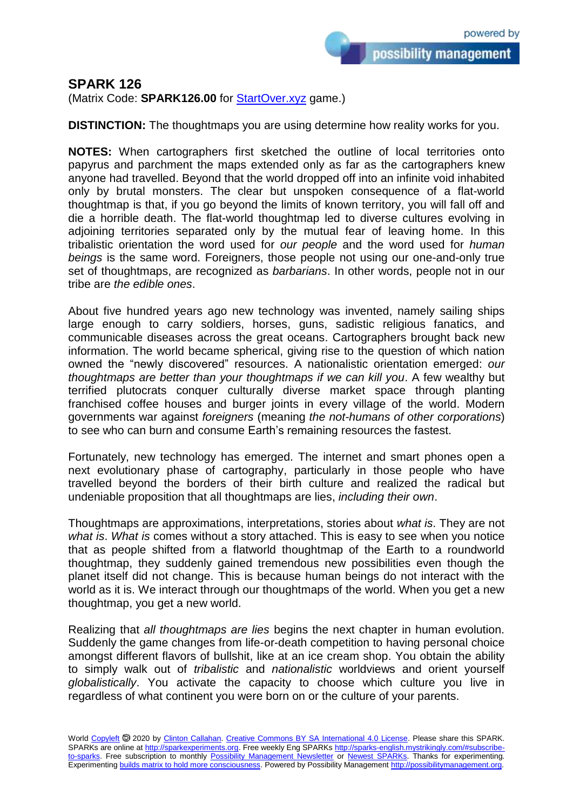possibility management

## **SPARK 126**

(Matrix Code: **SPARK126.00** for **StartOver.xyz** game.)

**DISTINCTION:** The thoughtmaps you are using determine how reality works for you.

**NOTES:** When cartographers first sketched the outline of local territories onto papyrus and parchment the maps extended only as far as the cartographers knew anyone had travelled. Beyond that the world dropped off into an infinite void inhabited only by brutal monsters. The clear but unspoken consequence of a flat-world thoughtmap is that, if you go beyond the limits of known territory, you will fall off and die a horrible death. The flat-world thoughtmap led to diverse cultures evolving in adjoining territories separated only by the mutual fear of leaving home. In this tribalistic orientation the word used for *our people* and the word used for *human beings* is the same word. Foreigners, those people not using our one-and-only true set of thoughtmaps, are recognized as *barbarians*. In other words, people not in our tribe are *the edible ones*.

About five hundred years ago new technology was invented, namely sailing ships large enough to carry soldiers, horses, guns, sadistic religious fanatics, and communicable diseases across the great oceans. Cartographers brought back new information. The world became spherical, giving rise to the question of which nation owned the "newly discovered" resources. A nationalistic orientation emerged: *our thoughtmaps are better than your thoughtmaps if we can kill you*. A few wealthy but terrified plutocrats conquer culturally diverse market space through planting franchised coffee houses and burger joints in every village of the world. Modern governments war against *foreigners* (meaning *the not-humans of other corporations*) to see who can burn and consume Earth's remaining resources the fastest.

Fortunately, new technology has emerged. The internet and smart phones open a next evolutionary phase of cartography, particularly in those people who have travelled beyond the borders of their birth culture and realized the radical but undeniable proposition that all thoughtmaps are lies, *including their own*.

Thoughtmaps are approximations, interpretations, stories about *what is*. They are not *what is*. *What is* comes without a story attached. This is easy to see when you notice that as people shifted from a flatworld thoughtmap of the Earth to a roundworld thoughtmap, they suddenly gained tremendous new possibilities even though the planet itself did not change. This is because human beings do not interact with the world as it is. We interact through our thoughtmaps of the world. When you get a new thoughtmap, you get a new world.

Realizing that *all thoughtmaps are lies* begins the next chapter in human evolution. Suddenly the game changes from life-or-death competition to having personal choice amongst different flavors of bullshit, like at an ice cream shop. You obtain the ability to simply walk out of *tribalistic* and *nationalistic* worldviews and orient yourself *globalistically*. You activate the capacity to choose which culture you live in regardless of what continent you were born on or the culture of your parents.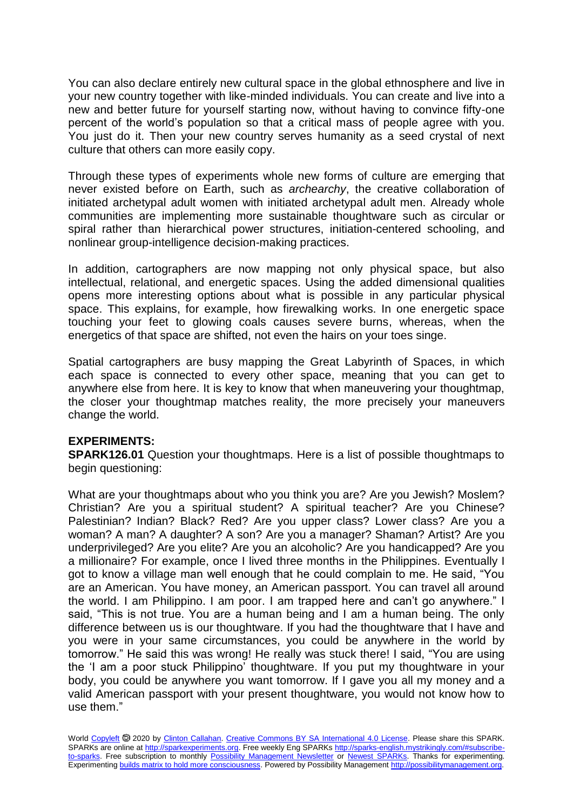You can also declare entirely new cultural space in the global ethnosphere and live in your new country together with like-minded individuals. You can create and live into a new and better future for yourself starting now, without having to convince fifty-one percent of the world's population so that a critical mass of people agree with you. You just do it. Then your new country serves humanity as a seed crystal of next culture that others can more easily copy.

Through these types of experiments whole new forms of culture are emerging that never existed before on Earth, such as *archearchy*, the creative collaboration of initiated archetypal adult women with initiated archetypal adult men. Already whole communities are implementing more sustainable thoughtware such as circular or spiral rather than hierarchical power structures, initiation-centered schooling, and nonlinear group-intelligence decision-making practices.

In addition, cartographers are now mapping not only physical space, but also intellectual, relational, and energetic spaces. Using the added dimensional qualities opens more interesting options about what is possible in any particular physical space. This explains, for example, how firewalking works. In one energetic space touching your feet to glowing coals causes severe burns, whereas, when the energetics of that space are shifted, not even the hairs on your toes singe.

Spatial cartographers are busy mapping the Great Labyrinth of Spaces, in which each space is connected to every other space, meaning that you can get to anywhere else from here. It is key to know that when maneuvering your thoughtmap, the closer your thoughtmap matches reality, the more precisely your maneuvers change the world.

## **EXPERIMENTS:**

**SPARK126.01** Question your thoughtmaps. Here is a list of possible thoughtmaps to begin questioning:

What are your thoughtmaps about who you think you are? Are you Jewish? Moslem? Christian? Are you a spiritual student? A spiritual teacher? Are you Chinese? Palestinian? Indian? Black? Red? Are you upper class? Lower class? Are you a woman? A man? A daughter? A son? Are you a manager? Shaman? Artist? Are you underprivileged? Are you elite? Are you an alcoholic? Are you handicapped? Are you a millionaire? For example, once I lived three months in the Philippines. Eventually I got to know a village man well enough that he could complain to me. He said, "You are an American. You have money, an American passport. You can travel all around the world. I am Philippino. I am poor. I am trapped here and can't go anywhere." I said, "This is not true. You are a human being and I am a human being. The only difference between us is our thoughtware. If you had the thoughtware that I have and you were in your same circumstances, you could be anywhere in the world by tomorrow." He said this was wrong! He really was stuck there! I said, "You are using the 'I am a poor stuck Philippino' thoughtware. If you put my thoughtware in your body, you could be anywhere you want tomorrow. If I gave you all my money and a valid American passport with your present thoughtware, you would not know how to use them."

World [Copyleft](https://en.wikipedia.org/wiki/Copyleft) <sup>5</sup> 2020 by [Clinton Callahan.](http://clintoncallahan.mystrikingly.com/) [Creative Commons BY SA International 4.0 License.](https://creativecommons.org/licenses/by-sa/4.0/) Please share this SPARK. SPARKs are online at [http://sparkexperiments.org.](http://sparks-english.mystrikingly.com/) Free weekly Eng SPARKs [http://sparks-english.mystrikingly.com/#subscribe](http://sparks-english.mystrikingly.com/#subscribe-to-sparks)[to-sparks.](http://sparks-english.mystrikingly.com/#subscribe-to-sparks) Free subscription to monthly [Possibility Management Newsletter](https://possibilitymanagement.org/news/) or [Newest SPARKs.](https://www.clintoncallahan.org/newsletter-1) Thanks for experimenting. Experimentin[g builds matrix to hold more consciousness.](http://spaceport.mystrikingly.com/) Powered by Possibility Managemen[t http://possibilitymanagement.org.](http://possibilitymanagement.org/)